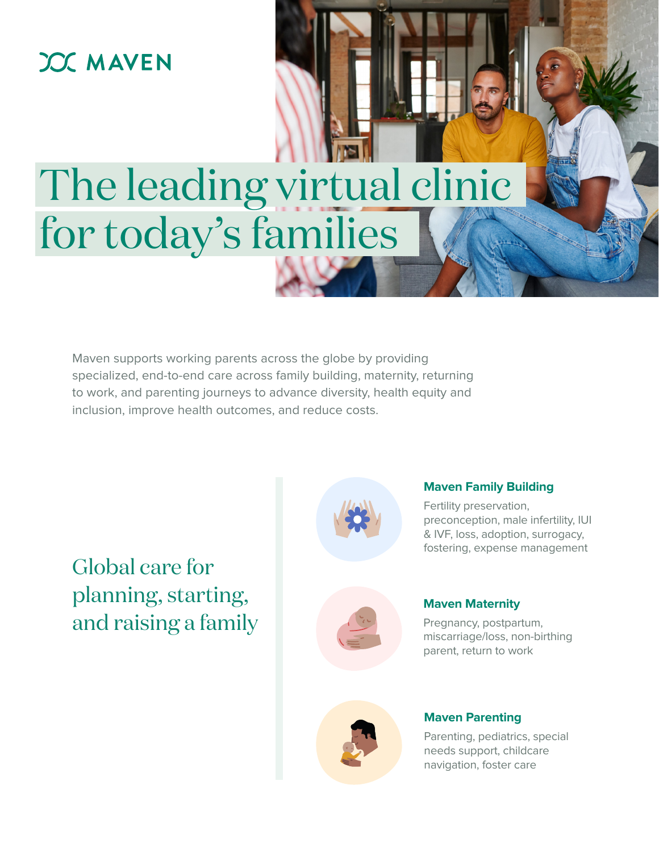## **JOC MAVEN**

# The leading virtual clinic for today's families

Maven supports working parents across the globe by providing specialized, end-to-end care across family building, maternity, returning to work, and parenting journeys to advance diversity, health equity and inclusion, improve health outcomes, and reduce costs.

Global care for planning, starting, and raising a family



## **Maven Family Building**

Fertility preservation, preconception, male infertility, IUI & IVF, loss, adoption, surrogacy, fostering, expense management



### **Maven Maternity**

Pregnancy, postpartum, miscarriage/loss, non-birthing parent, return to work



#### **Maven Parenting**

Parenting, pediatrics, special needs support, childcare navigation, foster care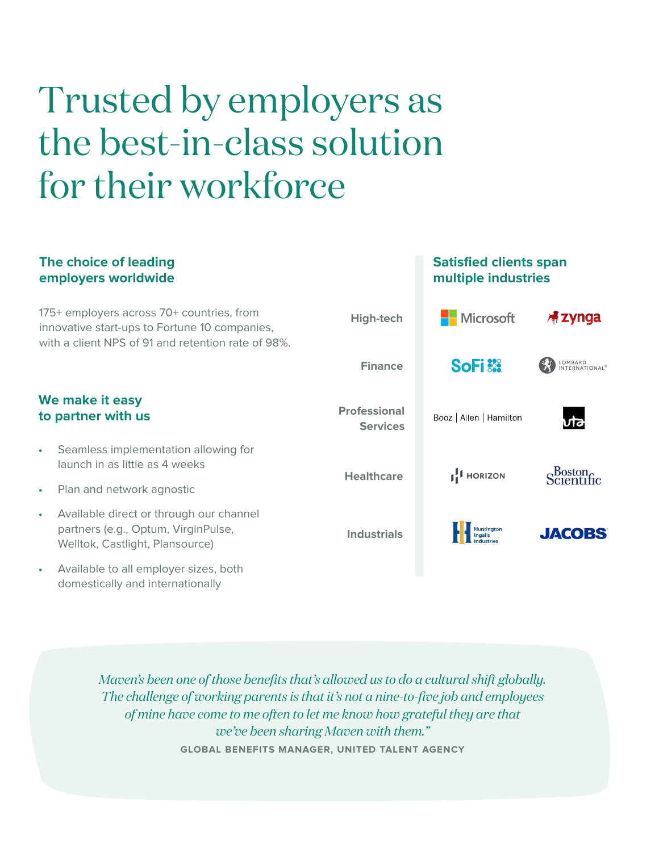## Trusted by employers as the best-in-class solution for their workforce

domestically and internationally

#### **The choice of leading Satisfied clients span employers worldwide multiple industries** 175+ employers across 70+ countries, from **Nicrosoft High-tech 棉Zynga** innovative start-ups to Fortune 10 companies, with a client NPS of 91 and retention rate of 98%. **SoFi** LOMBARD<br>INTERNATIONAL<sup>®</sup> **Finance We make it easy Professional to partner with us**Booz | Allen | Hamilton **Services •** Seamless implementation allowing for launch in as little as 4 weeks Scientific **1.1** HORIZON **Healthcare •** Plan and network agnostic **•** Available direct or through our channel partners (e.g., Optum, VirginPulse, **Huntington JACOBS Industrials** Welltok, Castlight, Plansource) **•** Available to all employer sizes, both

*Maven's been one of those benefits that's allowed us to do a cultural shift globally. The challenge of working parents is that it's not a nine-to-five job and employees of mine have come to me often to let me know how grateful they are that we've been sharing Maven with them."*  **GLOBAL BENEFITS MANAGER, UNITED TALENT AGENCY**